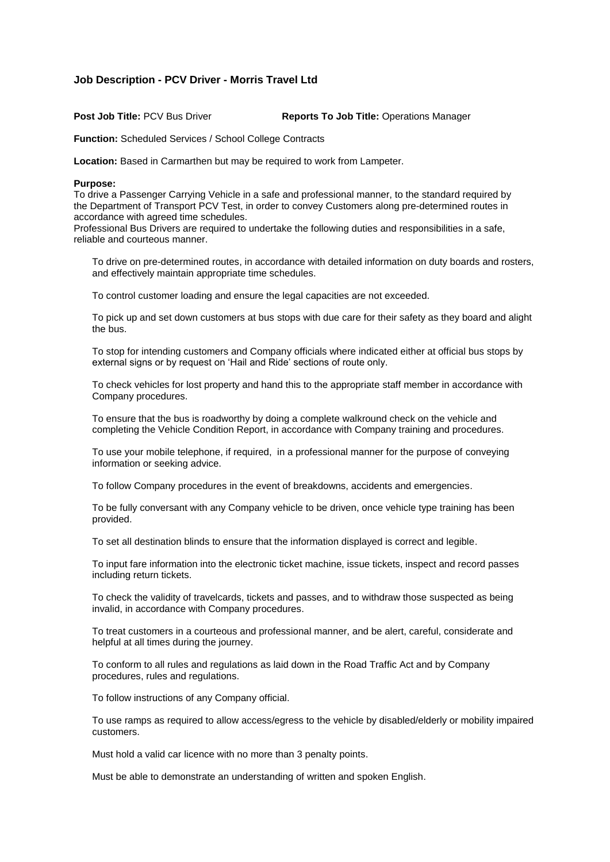## **Job Description - PCV Driver - Morris Travel Ltd**

**Post Job Title:** PCV Bus Driver **Reports To Job Title:** Operations Manager

**Function:** Scheduled Services / School College Contracts

**Location:** Based in Carmarthen but may be required to work from Lampeter.

## **Purpose:**

To drive a Passenger Carrying Vehicle in a safe and professional manner, to the standard required by the Department of Transport PCV Test, in order to convey Customers along pre-determined routes in accordance with agreed time schedules.

Professional Bus Drivers are required to undertake the following duties and responsibilities in a safe, reliable and courteous manner.

To drive on pre-determined routes, in accordance with detailed information on duty boards and rosters, and effectively maintain appropriate time schedules.

To control customer loading and ensure the legal capacities are not exceeded.

To pick up and set down customers at bus stops with due care for their safety as they board and alight the bus.

To stop for intending customers and Company officials where indicated either at official bus stops by external signs or by request on 'Hail and Ride' sections of route only.

To check vehicles for lost property and hand this to the appropriate staff member in accordance with Company procedures.

To ensure that the bus is roadworthy by doing a complete walkround check on the vehicle and completing the Vehicle Condition Report, in accordance with Company training and procedures.

To use your mobile telephone, if required, in a professional manner for the purpose of conveying information or seeking advice.

To follow Company procedures in the event of breakdowns, accidents and emergencies.

To be fully conversant with any Company vehicle to be driven, once vehicle type training has been provided.

To set all destination blinds to ensure that the information displayed is correct and legible.

To input fare information into the electronic ticket machine, issue tickets, inspect and record passes including return tickets.

To check the validity of travelcards, tickets and passes, and to withdraw those suspected as being invalid, in accordance with Company procedures.

To treat customers in a courteous and professional manner, and be alert, careful, considerate and helpful at all times during the journey.

To conform to all rules and regulations as laid down in the Road Traffic Act and by Company procedures, rules and regulations.

To follow instructions of any Company official.

To use ramps as required to allow access/egress to the vehicle by disabled/elderly or mobility impaired customers.

Must hold a valid car licence with no more than 3 penalty points.

Must be able to demonstrate an understanding of written and spoken English.